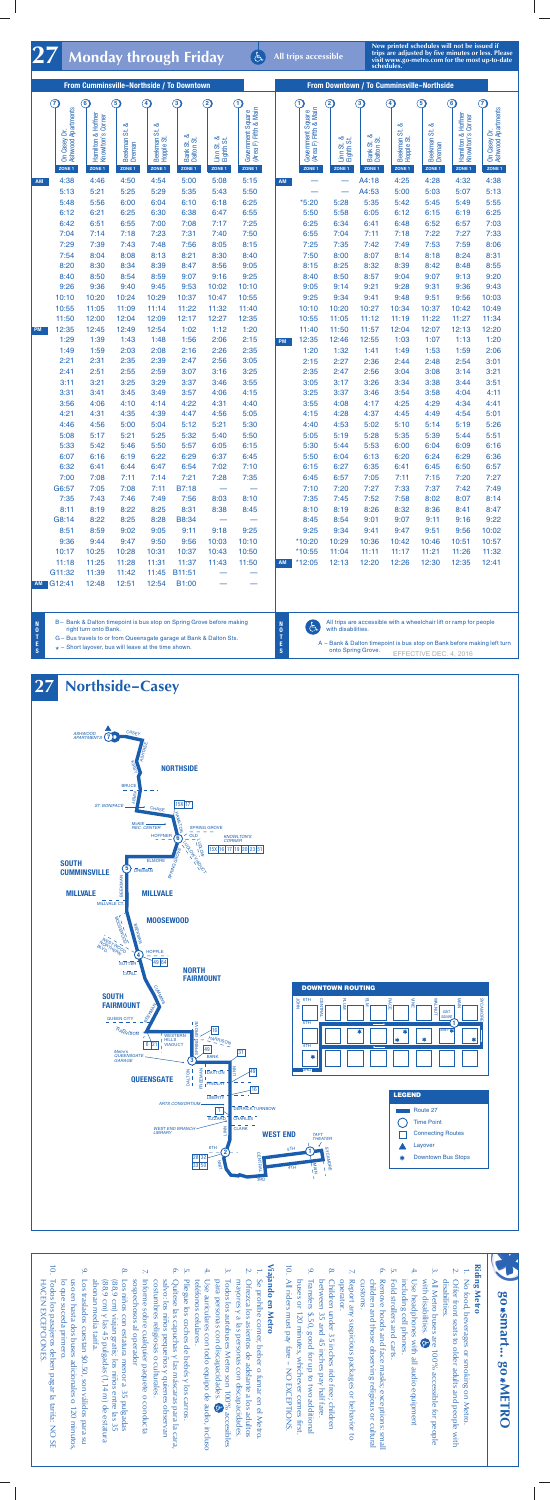**All trips accessible**

**New printed schedules will not be issued if trips are adjusted by five minutes or less. Please 1 Monday through Friday Solution of the most up-to-date**  $\frac{1}{27}$  **Monday through Friday schedules**  $\frac{1}{27}$  **Monday through Friday schedules explored if**  $\frac{1}{27}$  **i**  $\frac{1}{27}$  **s**  $\frac{1}{27}$  **i**  $\frac{1$ 

| From Cumminsville-Northside / To Downtown |                                                         |                                                              |                               |                                                     |                                                    |                                               |                                                                 | From Downtown / To Cumminsville-Northside |                                                                 |                                                         |                                                    |                                                     |                                              |                                                             |                                              |
|-------------------------------------------|---------------------------------------------------------|--------------------------------------------------------------|-------------------------------|-----------------------------------------------------|----------------------------------------------------|-----------------------------------------------|-----------------------------------------------------------------|-------------------------------------------|-----------------------------------------------------------------|---------------------------------------------------------|----------------------------------------------------|-----------------------------------------------------|----------------------------------------------|-------------------------------------------------------------|----------------------------------------------|
|                                           | $\left( \mathcal{T}\right)$                             | $\bf{6)}$                                                    | $\circledg$                   | $\left( 4\right)$                                   | 3                                                  | $\left( 2\right)$                             | O                                                               |                                           | $\left( \widehat{\mathbf{T}}\right)$                            | $\left( 2\right)$                                       | $\bf(3)$                                           | $\left( 4\right)$                                   | $\circ$                                      | $\left( \widehat{\mathbf{6}}\right)$                        | $\left( \mathbf{\widehat{7}}\right)$         |
|                                           | On Casey Dr.<br>Ashwood Apartments<br>ZONE <sub>1</sub> | Hamilton & Hoffner<br>Knowlton's Corner<br>ZONE <sub>1</sub> | య<br>ಹ<br>Beekman 9<br>ZONE 1 | ఱ<br>Beekman St.<br>Hopple St.<br>ZONE <sub>1</sub> | య<br>Bank St. &<br>Dalton St.<br>ZONE <sub>1</sub> | Linn St. &<br>Eighth St.<br>ZONE <sub>1</sub> | Government Square<br>(Area F) Fifth & Main<br>ZONE <sub>1</sub> |                                           | Government Square<br>(Area F) Fifth & Main<br>ZONE <sub>1</sub> | ಹ<br>Linn St. &<br>Eighth St.<br>ಕ<br>ZONE <sub>1</sub> | య<br>Bank St. &<br>Dalton St.<br>ZONE <sub>1</sub> | ಹ<br>Beekman St.<br>Hopple St.<br>ZONE <sub>1</sub> | ळ<br>ಹ<br><b>Beekman</b><br>Dreman<br>ZONE 1 | Hamilton & Hoffner<br>Knowlton's Comer<br>ZONE <sub>1</sub> | On Casey Dr.<br>Ashwood Apartments<br>ZONE 1 |
| AM                                        | 4:38                                                    | 4:46                                                         | 4:50                          | 4:54                                                | 5:00                                               | 5:08                                          | 5:15                                                            | AM                                        |                                                                 |                                                         | A4:18                                              | 4:25                                                | 4:28                                         | 4:32                                                        | 4:38                                         |
|                                           | 5:13                                                    | 5:21                                                         | 5:25                          | 5:29                                                | 5:35                                               | 5:43                                          | 5:50                                                            |                                           |                                                                 |                                                         | A4:53                                              | 5:00                                                | 5:03                                         | 5:07                                                        | 5:13                                         |
|                                           | 5:48                                                    | 5:56                                                         | 6:00                          | 6:04                                                | 6:10                                               | 6:18                                          | 6:25                                                            |                                           | $*5:20$                                                         | 5:28                                                    | 5:35                                               | 5:42                                                | 5:45                                         | 5:49                                                        | 5:55                                         |
|                                           | 6:12                                                    | 6:21                                                         | 6:25                          | 6:30                                                | 6:38                                               | 6:47                                          | 6:55                                                            |                                           | 5:50                                                            | 5:58                                                    | 6:05                                               | 6:12                                                | 6:15                                         | 6:19                                                        | 6:25                                         |
|                                           | 6:42                                                    | 6:51                                                         | 6:55                          | 7:00                                                | 7:08                                               | 7:17                                          | 7:25                                                            |                                           | 6:25                                                            | 6:34                                                    | 6:41                                               | 6:48                                                | 6:52                                         | 6:57                                                        | 7:03                                         |
|                                           | 7:04                                                    | 7:14                                                         | 7:18                          | 7:23                                                | 7:31                                               | 7:40                                          | 7:50                                                            |                                           | 6:55                                                            | 7:04                                                    | 7:11                                               | 7:18                                                | 7:22                                         | 7:27                                                        | 7:33                                         |
|                                           | 7:29                                                    | 7:39                                                         | 7:43                          | 7:48                                                | 7:56                                               | 8:05                                          | 8:15                                                            |                                           | 7:25                                                            | 7:35                                                    | 7:42                                               | 7:49                                                | 7:53                                         | 7:59                                                        | 8:06                                         |
|                                           | 7:54                                                    | 8:04                                                         | 8:08                          | 8:13                                                | 8:21                                               | 8:30                                          | 8:40                                                            |                                           | 7:50                                                            | 8:00                                                    | 8:07                                               | 8:14                                                | 8:18                                         | 8:24                                                        | 8:31                                         |
|                                           | 8:20                                                    | 8:30                                                         | 8:34                          | 8:39                                                | 8:47                                               | 8:56                                          | 9:05                                                            |                                           | 8:15                                                            | 8:25                                                    | 8:32                                               | 8:39                                                | 8:42                                         | 8:48                                                        | 8:55                                         |
|                                           | 8:40<br>9:26                                            | 8:50<br>9:36                                                 | 8:54<br>9:40                  | 8:59<br>9:45                                        | 9:07<br>9:53                                       | 9:16<br>10:02                                 | 9:25<br>10:10                                                   |                                           | 8:40<br>9:05                                                    | 8:50<br>9:14                                            | 8:57<br>9:21                                       | 9:04<br>9:28                                        | 9:07<br>9:31                                 | 9:13<br>9:36                                                | 9:20<br>9:43                                 |
|                                           | 10:10                                                   | 10:20                                                        | 10:24                         | 10:29                                               | 10:37                                              | 10:47                                         | 10:55                                                           |                                           | 9:25                                                            | 9:34                                                    | 9:41                                               | 9:48                                                | 9:51                                         | 9:56                                                        | 10:03                                        |
|                                           | 10:55                                                   | 11:05                                                        | 11:09                         | 11:14                                               | 11:22                                              | 11:32                                         | 11:40                                                           |                                           | 10:10                                                           | 10:20                                                   | 10:27                                              | 10:34                                               | 10:37                                        | 10:42                                                       | 10:49                                        |
|                                           | 11:50                                                   | 12:00                                                        | 12:04                         | 12:09                                               | 12:17                                              | 12:27                                         | 12:35                                                           |                                           | 10:55                                                           | 11:05                                                   | 11:12                                              | 11:19                                               | 11:22                                        | 11:27                                                       | 11:34                                        |
| PM                                        | 12:35                                                   | 12:45                                                        | 12:49                         | 12:54                                               | 1:02                                               | 1:12                                          | 1:20                                                            |                                           | 11:40                                                           | 11:50                                                   | 11:57                                              | 12:04                                               | 12:07                                        | 12:13                                                       | 12:20                                        |
|                                           | 1:29                                                    | 1:39                                                         | 1:43                          | 1:48                                                | 1:56                                               | 2:06                                          | 2:15                                                            | PM                                        | 12:35                                                           | 12:46                                                   | 12:55                                              | 1:03                                                | 1:07                                         | 1:13                                                        | 1:20                                         |
|                                           | 1:49                                                    | 1:59                                                         | 2:03                          | 2:08                                                | 2:16                                               | 2:26                                          | 2:35                                                            |                                           | 1:20                                                            | 1:32                                                    | 1:41                                               | 1:49                                                | 1:53                                         | 1:59                                                        | 2:06                                         |
|                                           | 2:21                                                    | 2:31                                                         | 2:35                          | 2:39                                                | 2:47                                               | 2:56                                          | 3:05                                                            |                                           | 2:15                                                            | 2:27                                                    | 2:36                                               | 2:44                                                | 2:48                                         | 2:54                                                        | 3:01                                         |
|                                           | 2:41                                                    | 2:51                                                         | 2:55                          | 2:59                                                | 3:07                                               | 3:16                                          | 3:25                                                            |                                           | 2:35                                                            | 2:47                                                    | 2:56                                               | 3:04                                                | 3:08                                         | 3:14                                                        | 3:21                                         |
|                                           | 3:11                                                    | 3:21                                                         | 3:25                          | 3:29                                                | 3:37                                               | 3:46                                          | 3:55                                                            |                                           | 3:05                                                            | 3:17                                                    | 3:26                                               | 3:34                                                | 3:38                                         | 3:44                                                        | 3:51                                         |
|                                           | 3:31                                                    | 3:41                                                         | 3:45                          | 3:49                                                | 3:57                                               | 4:06                                          | 4:15                                                            |                                           | 3:25                                                            | 3:37                                                    | 3:46                                               | 3:54                                                | 3:58                                         | 4:04                                                        | 4:11                                         |
|                                           | 3:56                                                    | 4:06                                                         | 4:10                          | 4:14                                                | 4:22                                               | 4:31                                          | 4:40                                                            |                                           | 3:55                                                            | 4:08                                                    | 4:17                                               | 4:25                                                | 4:29                                         | 4:34                                                        | 4:41                                         |
|                                           | 4:21                                                    | 4:31                                                         | 4:35                          | 4:39                                                | 4:47                                               | 4:56                                          | 5:05                                                            |                                           | 4:15                                                            | 4:28                                                    | 4:37                                               | 4:45                                                | 4:49                                         | 4:54                                                        | 5:01                                         |
|                                           | 4:46                                                    | 4:56                                                         | 5:00                          | 5:04                                                | 5:12                                               | 5:21                                          | 5:30                                                            |                                           | 4:40                                                            | 4:53                                                    | 5:02                                               | 5:10                                                | 5:14                                         | 5:19                                                        | 5:26                                         |
|                                           | 5:08                                                    | 5:17                                                         | 5:21                          | 5:25                                                | 5:32                                               | 5:40                                          | 5:50                                                            |                                           | 5:05                                                            | 5:19                                                    | 5:28                                               | 5:35                                                | 5:39                                         | 5:44                                                        | 5:51                                         |
|                                           | 5:33                                                    | 5:42                                                         | 5:46                          | 5:50                                                | 5:57                                               | 6:05                                          | 6:15                                                            |                                           | 5:30                                                            | 5:44                                                    | 5:53                                               | 6:00                                                | 6:04                                         | 6:09                                                        | 6:16                                         |
|                                           | 6:07                                                    | 6:16                                                         | 6:19                          | 6:22                                                | 6:29                                               | 6:37                                          | 6:45                                                            |                                           | 5:50                                                            | 6:04                                                    | 6:13                                               | 6:20                                                | 6:24                                         | 6:29                                                        | 6:36                                         |
|                                           | 6:32                                                    | 6:41                                                         | 6:44                          | 6:47                                                | 6:54                                               | 7:02                                          | 7:10                                                            |                                           | 6:15                                                            | 6:27                                                    | 6:35                                               | 6:41                                                | 6:45                                         | 6:50                                                        | 6:57                                         |
|                                           | 7:00                                                    | 7:08                                                         | 7:11                          | 7:14                                                | 7:21                                               | 7:28                                          | 7:35                                                            |                                           | 6:45                                                            | 6:57                                                    | 7:05                                               | 7:11                                                | 7:15                                         | 7:20                                                        | 7:27                                         |
|                                           | G6:57                                                   | 7:05                                                         | 7:08                          | 7:11                                                | B7:18                                              | $\overline{\phantom{m}}$                      |                                                                 |                                           | 7:10                                                            | 7:20                                                    | 7:27                                               | 7:33                                                | 7:37                                         | 7:42                                                        | 7:49                                         |
|                                           | 7:35                                                    | 7:43                                                         | 7:46                          | 7:49                                                | 7:56                                               | 8:03                                          | 8:10                                                            |                                           | 7:35                                                            | 7:45                                                    | 7:52                                               | 7:58                                                | 8:02                                         | 8:07                                                        | 8:14                                         |
|                                           | 8:11                                                    | 8:19                                                         | 8:22                          | 8:25                                                | 8:31                                               | 8:38                                          | 8:45                                                            |                                           | 8:10                                                            | 8:19                                                    | 8:26                                               | 8:32                                                | 8:36                                         | 8:41                                                        | 8:47                                         |
|                                           | G8:14<br>8:51                                           | 8:22<br>8:59                                                 | 8:25<br>9:02                  | 8:28<br>9:05                                        | B8:34<br>9:11                                      | $\overline{\phantom{0}}$<br>9:18              | 9:25                                                            |                                           | 8:45<br>9:25                                                    | 8:54<br>9:34                                            | 9:01<br>9:41                                       | 9:07<br>9:47                                        | 9:11<br>9:51                                 | 9:16<br>9:56                                                | 9:22<br>10:02                                |
|                                           | 9:36                                                    | 9:44                                                         | 9:47                          | 9:50                                                | 9:56                                               | 10:03                                         | 10:10                                                           |                                           | *10:20                                                          | 10:29                                                   | 10:36                                              | 10:42                                               | 10:46                                        | 10:51                                                       | 10:57                                        |
|                                           | 10:17                                                   | 10:25                                                        | 10:28                         | 10:31                                               | 10:37                                              | 10:43                                         | 10:50                                                           |                                           | $*10:55$                                                        | 11:04                                                   | 11:11                                              | 11:17                                               | 11:21                                        | 11:26                                                       | 11:32                                        |
|                                           | 11:18                                                   | 11:25                                                        | 11:28                         | 11:31                                               | 11:37                                              | 11:43                                         | 11:50                                                           | <b>AM</b>                                 | $*12:05$                                                        | 12:13                                                   | 12:20                                              | 12:26                                               | 12:30                                        | 12:35                                                       | 12:41                                        |
|                                           | G11:32                                                  | 11:39                                                        | 11:42                         | 11:45                                               | B11:51                                             |                                               |                                                                 |                                           |                                                                 |                                                         |                                                    |                                                     |                                              |                                                             |                                              |
|                                           | AM G12:41                                               | 12:48                                                        | 12:51                         | 12:54                                               | B1:00                                              |                                               |                                                                 |                                           |                                                                 |                                                         |                                                    |                                                     |                                              |                                                             |                                              |
|                                           |                                                         |                                                              |                               |                                                     |                                                    |                                               |                                                                 |                                           |                                                                 |                                                         |                                                    |                                                     |                                              |                                                             |                                              |

B – Bank & Dalton timepoint is bus stop on Spring Grove before making right turn onto Bank.

G – Bus travels to or from Queensgate garage at Bank & Dalton Sts.

 $\star$  – Short layover, bus will leave at the time shown.

**N O T E S**

 $\Theta$ 

**N O T E S**

All trips are accessible with a wheelchair lift or ramp for people with disabilities.

A – Bank & Dalton timepoint is bus stop on Bank before making left turn onto Spring Grove. EFFECTIVE DEC. 4, 2016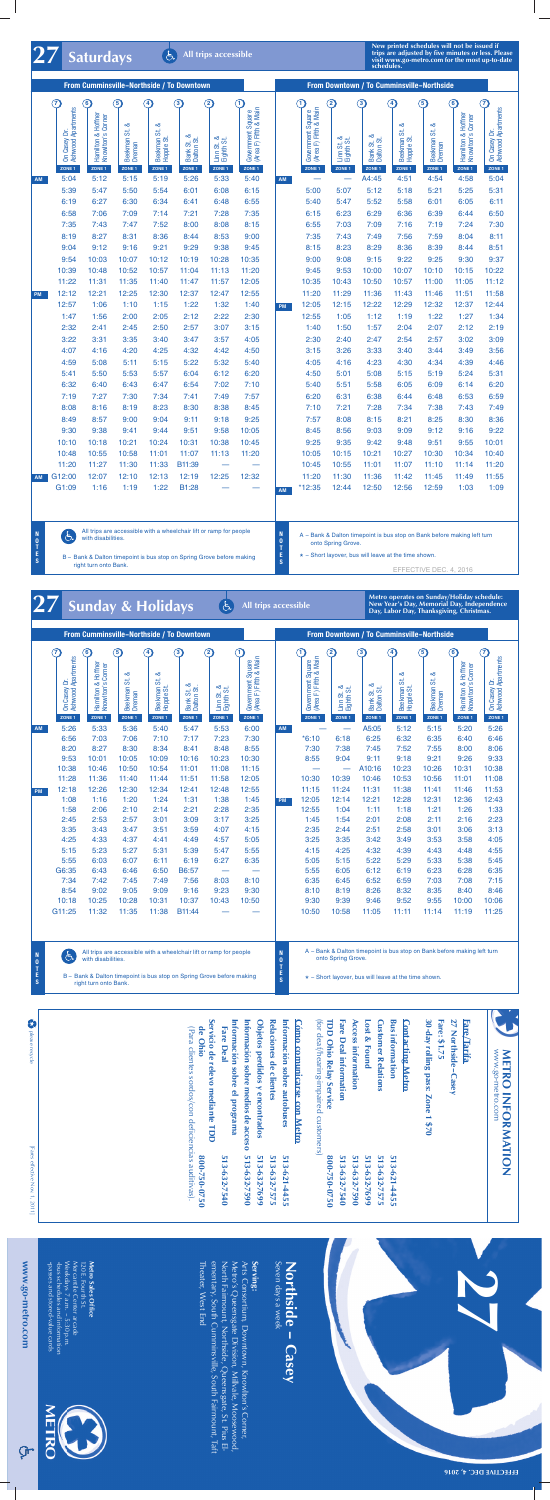## **All trips accessible**

**27 Saturdays**

**New printed schedules will not be issued if trips are adjusted by five minutes or less. Please visit www.go-metro.com for the most up-to-date schedules.**

| From Cumminsville-Northside / To Downtown |                                                                   |                                                                                          |                                                |                                                                                           |                                              |                                                                |                                                           |           | From Downtown / To Cumminsville-Northside                                 |                                                              |                                                        |                                                                              |                                              |                                                                                          |                                                                                      |
|-------------------------------------------|-------------------------------------------------------------------|------------------------------------------------------------------------------------------|------------------------------------------------|-------------------------------------------------------------------------------------------|----------------------------------------------|----------------------------------------------------------------|-----------------------------------------------------------|-----------|---------------------------------------------------------------------------|--------------------------------------------------------------|--------------------------------------------------------|------------------------------------------------------------------------------|----------------------------------------------|------------------------------------------------------------------------------------------|--------------------------------------------------------------------------------------|
|                                           | $\left( 7\right)$<br>On Casey Dr.<br>Ashwood Apartments<br>ZONE 1 | $\left( \widehat{\mathbf{6}}\right)$<br>Hamilton & Hoffner<br>Knowlton's Comer<br>ZONE 1 | $\mathbf{G}$<br>య<br>ι.<br>Beekman 9<br>ZONE 1 | $\left( \begin{matrix} 4 \end{matrix} \right)$<br>ಹ<br>Beekman St.<br>Hopple St<br>ZONE 1 | 3<br>ಹ<br>Bank St. &<br>Dalton St.<br>ZONE 1 | $\bm{\mathfrak{D}}$<br>ಹ<br>Linn St. &<br>Eighth St.<br>ZONE 1 | 9<br>Government Square<br>(Area F) Fifth & Main<br>ZONE 1 |           | $\left( 1\right)$<br>Government Square<br>(Area F) Fifth & Main<br>ZONE 1 | $\left( 2\right)$<br>ఱ<br>Linn St. &<br>Eighth St.<br>ZONE 1 | $\bf{(3)}$<br>ಂಶ<br>Bank St. &<br>Dalton St.<br>ZONE 1 | $\left( 4\right)$<br>య<br><b>SE</b><br><b>Beekman</b><br>Hopple St<br>ZONE 1 | $\circledg$<br>ಹ<br>ಹ<br>Beekman 9<br>ZONE 1 | $\left( \widehat{\mathbf{6}}\right)$<br>Hamilton & Hoffner<br>Knowlton's Comer<br>ZONE 1 | $\left( \mathbf{\widehat{7}}\right)$<br>On Casey Dr.<br>Ashwood Apartments<br>ZONE 1 |
| AM                                        | 5:04                                                              | 5:12                                                                                     | 5:15                                           | 5:19                                                                                      | 5:26                                         | 5:33                                                           | 5:40                                                      | AM        |                                                                           |                                                              | A4:45                                                  | 4:51                                                                         | 4:54                                         | 4:58                                                                                     | 5:04                                                                                 |
|                                           | 5:39                                                              | 5:47                                                                                     | 5:50                                           | 5:54                                                                                      | 6:01                                         | 6:08                                                           | 6:15                                                      |           | 5:00                                                                      | 5:07                                                         | 5:12                                                   | 5:18                                                                         | 5:21                                         | 5:25                                                                                     | 5:31                                                                                 |
|                                           | 6:19                                                              | 6:27                                                                                     | 6:30                                           | 6:34                                                                                      | 6:41                                         | 6:48                                                           | 6:55                                                      |           | 5:40                                                                      | 5:47                                                         | 5:52                                                   | 5:58                                                                         | 6:01                                         | 6:05                                                                                     | 6:11                                                                                 |
|                                           | 6:58                                                              | 7:06                                                                                     | 7:09                                           | 7:14                                                                                      | 7:21                                         | 7:28                                                           | 7:35                                                      |           | 6:15                                                                      | 6:23                                                         | 6:29                                                   | 6:36                                                                         | 6:39                                         | 6:44                                                                                     | 6:50                                                                                 |
|                                           | 7:35                                                              | 7:43                                                                                     | 7:47                                           | 7:52                                                                                      | 8:00                                         | 8:08                                                           | 8:15                                                      |           | 6:55                                                                      | 7:03                                                         | 7:09                                                   | 7:16                                                                         | 7:19                                         | 7:24                                                                                     | 7:30                                                                                 |
|                                           | 8:19                                                              | 8:27                                                                                     | 8:31                                           | 8:36                                                                                      | 8:44                                         | 8:53                                                           | 9:00                                                      |           | 7:35                                                                      | 7:43                                                         | 7:49                                                   | 7:56                                                                         | 7:59                                         | 8:04                                                                                     | 8:11                                                                                 |
|                                           | 9:04                                                              | 9:12                                                                                     | 9:16                                           | 9:21                                                                                      | 9:29                                         | 9:38                                                           | 9:45                                                      |           | 8:15                                                                      | 8:23                                                         | 8:29                                                   | 8:36                                                                         | 8:39                                         | 8:44                                                                                     | 8:51                                                                                 |
|                                           | 9:54                                                              | 10:03                                                                                    | 10:07                                          | 10:12                                                                                     | 10:19                                        | 10:28                                                          | 10:35                                                     |           | 9:00                                                                      | 9:08                                                         | 9:15                                                   | 9:22                                                                         | 9:25                                         | 9:30                                                                                     | 9:37                                                                                 |
|                                           | 10:39                                                             | 10:48                                                                                    | 10:52                                          | 10:57                                                                                     | 11:04                                        | 11:13                                                          | 11:20                                                     |           | 9:45                                                                      | 9:53                                                         | 10:00                                                  | 10:07                                                                        | 10:10                                        | 10:15                                                                                    | 10:22                                                                                |
|                                           | 11:22                                                             | 11:31                                                                                    | 11:35                                          | 11:40                                                                                     | 11:47                                        | 11:57                                                          | 12:05                                                     |           | 10:35                                                                     | 10:43                                                        | 10:50                                                  | 10:57                                                                        | 11:00                                        | 11:05                                                                                    | 11:12                                                                                |
| <b>PM</b>                                 | 12:12                                                             | 12:21                                                                                    | 12:25                                          | 12:30                                                                                     | 12:37                                        | 12:47                                                          | 12:55                                                     |           | 11:20                                                                     | 11:29                                                        | 11:36                                                  | 11:43                                                                        | 11:46                                        | 11:51                                                                                    | 11:58                                                                                |
|                                           | 12:57                                                             | 1:06                                                                                     | 1:10                                           | 1:15                                                                                      | 1:22                                         | 1:32                                                           | 1:40                                                      | <b>PM</b> | 12:05                                                                     | 12:15                                                        | 12:22                                                  | 12:29                                                                        | 12:32                                        | 12:37                                                                                    | 12:44                                                                                |
|                                           | 1:47                                                              | 1:56                                                                                     | 2:00                                           | 2:05                                                                                      | 2:12                                         | 2:22                                                           | 2:30                                                      |           | 12:55                                                                     | 1:05                                                         | 1:12                                                   | 1:19                                                                         | 1:22                                         | 1:27                                                                                     | 1:34                                                                                 |
|                                           | 2:32                                                              | 2:41                                                                                     | 2:45                                           | 2:50                                                                                      | 2:57                                         | 3:07                                                           | 3:15                                                      |           | 1:40                                                                      | 1:50                                                         | 1:57                                                   | 2:04                                                                         | 2:07                                         | 2:12                                                                                     | 2:19                                                                                 |
|                                           | 3:22                                                              | 3:31                                                                                     | 3:35                                           | 3:40                                                                                      | 3:47                                         | 3:57                                                           | 4:05                                                      |           | 2:30                                                                      | 2:40                                                         | 2:47                                                   | 2:54                                                                         | 2:57                                         | 3:02                                                                                     | 3:09                                                                                 |
|                                           | 4:07                                                              | 4:16                                                                                     | 4:20                                           | 4:25                                                                                      | 4:32                                         | 4:42                                                           | 4:50                                                      |           | 3:15                                                                      | 3:26                                                         | 3:33                                                   | 3:40                                                                         | 3:44                                         | 3:49                                                                                     | 3:56                                                                                 |
|                                           | 4:59                                                              | 5:08                                                                                     | 5:11                                           | 5:15                                                                                      | 5:22                                         | 5:32                                                           | 5:40                                                      |           | 4:05                                                                      | 4:16                                                         | 4:23                                                   | 4:30                                                                         | 4:34                                         | 4:39                                                                                     | 4:46                                                                                 |
|                                           | 5:41                                                              | 5:50                                                                                     | 5:53                                           | 5:57                                                                                      | 6:04                                         | 6:12                                                           | 6:20                                                      |           | 4:50                                                                      | 5:01                                                         | 5:08                                                   | 5:15                                                                         | 5:19                                         | 5:24                                                                                     | 5:31                                                                                 |
|                                           | 6:32                                                              | 6:40                                                                                     | 6:43                                           | 6:47                                                                                      | 6:54                                         | 7:02                                                           | 7:10                                                      |           | 5:40                                                                      | 5:51                                                         | 5:58                                                   | 6:05                                                                         | 6:09                                         | 6:14                                                                                     | 6:20                                                                                 |
|                                           | 7:19                                                              | 7:27                                                                                     | 7:30                                           | 7:34                                                                                      | 7:41                                         | 7:49                                                           | 7:57                                                      |           | 6:20                                                                      | 6:31                                                         | 6:38                                                   | 6:44                                                                         | 6:48                                         | 6:53                                                                                     | 6:59                                                                                 |
|                                           | 8:08                                                              | 8:16                                                                                     | 8:19                                           | 8:23                                                                                      | 8:30                                         | 8:38                                                           | 8:45                                                      |           | 7:10                                                                      | 7:21                                                         | 7:28                                                   | 7:34                                                                         | 7:38                                         | 7:43                                                                                     | 7:49                                                                                 |
|                                           | 8:49                                                              | 8:57                                                                                     | 9:00                                           | 9:04                                                                                      | 9:11                                         | 9:18                                                           | 9:25                                                      |           | 7:57                                                                      | 8:08                                                         | 8:15                                                   | 8:21                                                                         | 8:25                                         | 8:30                                                                                     | 8:36                                                                                 |
|                                           | 9:30                                                              | 9:38                                                                                     | 9:41                                           | 9:44                                                                                      | 9:51                                         | 9:58                                                           | 10:05                                                     |           | 8:45                                                                      | 8:56                                                         | 9:03                                                   | 9:09                                                                         | 9:12                                         | 9:16                                                                                     | 9:22                                                                                 |
|                                           | 10:10                                                             | 10:18                                                                                    | 10:21                                          | 10:24                                                                                     | 10:31                                        | 10:38                                                          | 10:45                                                     |           | 9:25                                                                      | 9:35                                                         | 9:42                                                   | 9:48                                                                         | 9:51                                         | 9:55                                                                                     | 10:01                                                                                |
|                                           | 10:48                                                             | 10:55                                                                                    | 10:58                                          | 11:01                                                                                     | 11:07                                        | 11:13                                                          | 11:20                                                     |           | 10:05                                                                     | 10:15                                                        | 10:21                                                  | 10:27                                                                        | 10:30                                        | 10:34                                                                                    | 10:40                                                                                |
|                                           | 11:20                                                             | 11:27                                                                                    | 11:30                                          | 11:33                                                                                     | B11:39                                       |                                                                |                                                           |           | 10:45                                                                     | 10:55                                                        | 11:01                                                  | 11:07                                                                        | 11:10                                        | 11:14                                                                                    | 11:20                                                                                |
| AM                                        | G12:00                                                            | 12:07                                                                                    | 12:10                                          | 12:13                                                                                     | 12:19                                        | 12:25                                                          | 12:32                                                     |           | 11:20                                                                     | 11:30                                                        | 11:36                                                  | 11:42                                                                        | 11:45                                        | 11:49                                                                                    | 11:55                                                                                |
|                                           | G1:09                                                             | 1:16                                                                                     | 1:19                                           | 1:22                                                                                      | B1:28                                        |                                                                |                                                           | AM        | *12:35                                                                    | 12:44                                                        | 12:50                                                  | 12:56                                                                        | 12:59                                        | 1:03                                                                                     | 1:09                                                                                 |
|                                           |                                                                   |                                                                                          |                                                |                                                                                           |                                              |                                                                |                                                           |           |                                                                           |                                                              |                                                        |                                                                              |                                              |                                                                                          |                                                                                      |

All trips are accessible with a wheelchair lift or ramp for people  $\sigma$ with disabilities.

right turn onto Bank.

B – Bank & Dalton timepoint is bus stop on Spring Grove before making

**N O T E S**

**N O T E**

**S**

A – Bank & Dalton timepoint is bus stop on Bank before making left turn onto Spring Grove.

\* - Short layover, bus will leave at the time shown.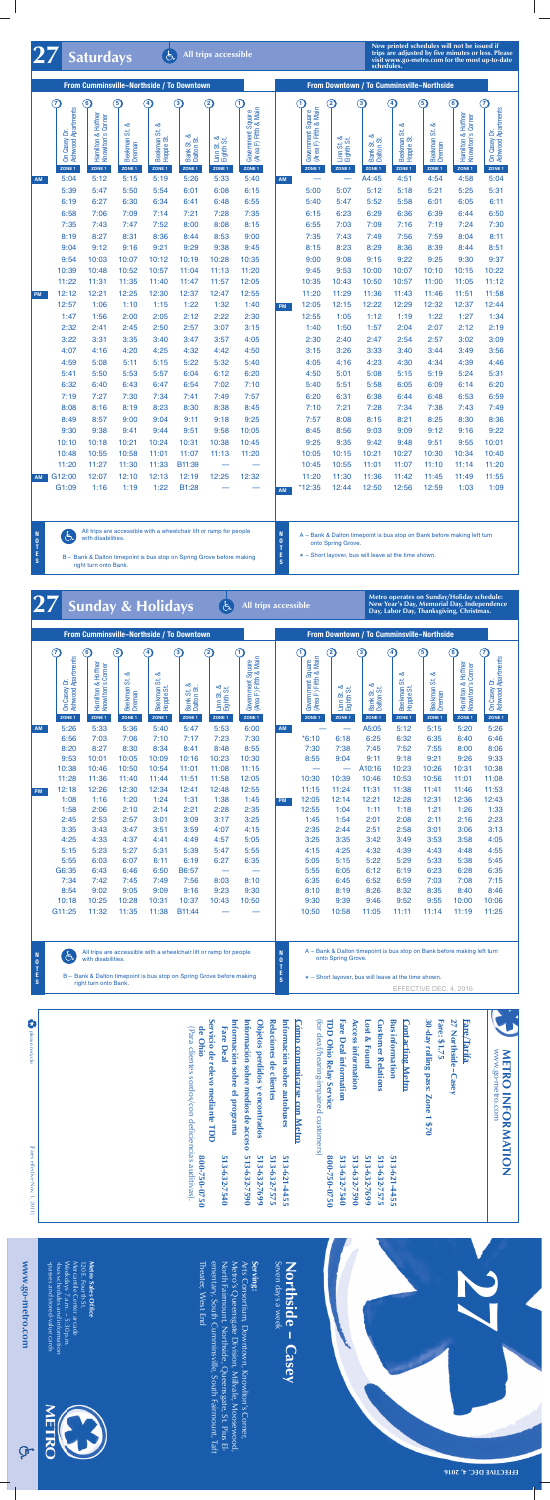

**Metro operates on Sunday/Holiday schedule: New Year's Day, Memorial Day, Independence Day, Labor Day, Thanksgiving, Christmas.**

| From Cumminsville-Northside / To Downtown |                                                               |                                                    |                                            |                                     |                                    |                                               |                                                            |           | From Downtown / To Cumminsville-Northside         |                                               |                                               |                                       |                                              |                                                      |                                                               |
|-------------------------------------------|---------------------------------------------------------------|----------------------------------------------------|--------------------------------------------|-------------------------------------|------------------------------------|-----------------------------------------------|------------------------------------------------------------|-----------|---------------------------------------------------|-----------------------------------------------|-----------------------------------------------|---------------------------------------|----------------------------------------------|------------------------------------------------------|---------------------------------------------------------------|
|                                           | $\widehat{\mathcal{L}}$<br>On Casey Dr.<br>Ashwood Apartments | $\bf{G}$<br>Hamilton & Hoffner<br>Knowlton's Comer | 5<br>ळ                                     | $\left( 4\right)$<br>∞              | 3                                  | $\circled{2}$                                 | $\mathbf{1}$<br>Government Square<br>(Area F) Fifth & Main |           | (1)<br>Government Square<br>(Area F) Fifth & Main | $\left( 2\right)$                             | 3<br>ಹ                                        | $\left( 4\right)$<br>ಹ                | $\circledast$<br>$\infty$                    | $\bigcirc$<br>Hamilton & Hoffner<br>Knowlton's Comer | $\widehat{\mathcal{L}}$<br>On Casey Dr.<br>Ashwood Apartments |
|                                           | ZONE <sub>1</sub>                                             | ZONE <sub>1</sub>                                  | Beekman St.<br>Dreman<br>ZONE <sub>1</sub> | Beekman St.<br>Hopple St.<br>ZONE 1 | Bank St. &<br>Dalton St.<br>ZONE 1 | Linn St. &<br>Eighth St.<br>ZONE <sub>1</sub> | ZONE 1                                                     |           | ZONE 1                                            | Linn St. &<br>Eighth St.<br>ZONE <sub>1</sub> | Bank St. &<br>Dalton St.<br>ZONE <sub>1</sub> | Beekman St. &<br>Hopple St.<br>ZONE 1 | Beekman St. 8<br>Dreman<br>ZONE <sub>1</sub> | ZONE <sub>1</sub>                                    | ZONE 1                                                        |
| <b>AM</b>                                 | 5:26                                                          | 5:33                                               | 5:36                                       | 5:40                                | 5:47                               | 5:53                                          | 6:00                                                       | <b>AM</b> |                                                   | $\overline{\phantom{0}}$                      | A5:05                                         | 5:12                                  | 5:15                                         | 5:20                                                 | 5:26                                                          |
|                                           | 6:56                                                          | 7:03                                               | 7:06                                       | 7:10                                | 7:17                               | 7:23                                          | 7:30                                                       |           | $*6:10$                                           | 6:18                                          | 6:25                                          | 6:32                                  | 6:35                                         | 6:40                                                 | 6:46                                                          |
|                                           | 8:20                                                          | 8:27                                               | 8:30                                       | 8:34                                | 8:41                               | 8:48                                          | 8:55                                                       |           | 7:30                                              | 7:38                                          | 7:45                                          | 7:52                                  | 7:55                                         | 8:00                                                 | 8:06                                                          |
|                                           | 9:53                                                          | 10:01                                              | 10:05                                      | 10:09                               | 10:16                              | 10:23                                         | 10:30                                                      |           | 8:55                                              | 9:04                                          | 9:11                                          | 9:18                                  | 9:21                                         | 9:26                                                 | 9:33                                                          |
|                                           | 10:38                                                         | 10:46                                              | 10:50                                      | 10:54                               | 11:01                              | 11:08                                         | 11:15                                                      |           |                                                   | $\overline{\phantom{0}}$                      | A10:16                                        | 10:23                                 | 10:26                                        | 10:31                                                | 10:38                                                         |
|                                           | 11:28                                                         | 11:36                                              | 11:40                                      | 11:44                               | 11:51                              | 11:58                                         | 12:05                                                      |           | 10:30                                             | 10:39                                         | 10:46                                         | 10:53                                 | 10:56                                        | 11:01                                                | 11:08                                                         |
| <b>PM</b>                                 | 12:18                                                         | 12:26                                              | 12:30                                      | 12:34                               | 12:41                              | 12:48                                         | 12:55                                                      |           | 11:15                                             | 11:24                                         | 11:31                                         | 11:38                                 | 11:41                                        | 11:46                                                | 11:53                                                         |
|                                           | 1:08                                                          | 1:16                                               | 1:20                                       | 1:24                                | 1:31                               | 1:38                                          | 1:45                                                       | <b>PM</b> | 12:05                                             | 12:14                                         | 12:21                                         | 12:28                                 | 12:31                                        | 12:36                                                | 12:43                                                         |
|                                           | 1:58                                                          | 2:06                                               | 2:10                                       | 2:14                                | 2:21                               | 2:28                                          | 2:35                                                       |           | 12:55                                             | 1:04                                          | 1:11                                          | 1:18                                  | 1:21                                         | 1:26                                                 | 1:33                                                          |
|                                           | 2:45                                                          | 2:53                                               | 2:57                                       | 3:01                                | 3:09                               | 3:17                                          | 3:25                                                       |           | 1:45                                              | 1:54                                          | 2:01                                          | 2:08                                  | 2:11                                         | 2:16                                                 | 2:23                                                          |
|                                           | 3:35                                                          | 3:43                                               | 3:47                                       | 3:51                                | 3:59                               | 4:07                                          | 4:15                                                       |           | 2:35                                              | 2:44                                          | 2:51                                          | 2:58                                  | 3:01                                         | 3:06                                                 | 3:13                                                          |
|                                           | 4:25                                                          | 4:33                                               | 4:37                                       | 4:41                                | 4:49                               | 4:57                                          | 5:05                                                       |           | 3:25                                              | 3:35                                          | 3:42                                          | 3:49                                  | 3:53                                         | 3:58                                                 | 4:05                                                          |
|                                           | 5:15                                                          | 5:23                                               | 5:27                                       | 5:31                                | 5:39                               | 5:47                                          | 5:55                                                       |           | 4:15                                              | 4:25                                          | 4:32                                          | 4:39                                  | 4:43                                         | 4:48                                                 | 4:55                                                          |
|                                           | 5:55                                                          | 6:03                                               | 6:07                                       | 6:11                                | 6:19                               | 6:27                                          | 6:35                                                       |           | 5:05                                              | 5:15                                          | 5:22                                          | 5:29                                  | 5:33                                         | 5:38                                                 | 5:45                                                          |
|                                           | G6:35                                                         | 6:43                                               | 6:46                                       | 6:50                                | B6:57                              |                                               |                                                            |           | 5:55                                              | 6:05                                          | 6:12                                          | 6:19                                  | 6:23                                         | 6:28                                                 | 6:35                                                          |
|                                           | 7:34                                                          | 7:42                                               | 7:45                                       | 7:49                                | 7:56                               | 8:03                                          | 8:10                                                       |           | 6:35                                              | 6:45                                          | 6:52                                          | 6:59                                  | 7:03                                         | 7:08                                                 | 7:15                                                          |
|                                           | 8:54                                                          | 9:02                                               | 9:05                                       | 9:09                                | 9:16                               | 9:23                                          | 9:30                                                       |           | 8:10                                              | 8:19                                          | 8:26                                          | 8:32                                  | 8:35                                         | 8:40                                                 | 8:46                                                          |
|                                           | 10:18                                                         | 10:25                                              | 10:28                                      | 10:31                               | 10:37                              | 10:43                                         | 10:50                                                      |           | 9:30                                              | 9:39                                          | 9:46                                          | 9:52                                  | 9:55                                         | 10:00                                                | 10:06                                                         |
|                                           | G11:25                                                        | 11:32                                              | 11:35                                      | 11:38                               | B11:44                             |                                               |                                                            |           | 10:50                                             | 10:58                                         | 11:05                                         | 11:11                                 | 11:14                                        | 11:19                                                | 11:25                                                         |

All trips are accessible with a wheelchair lift or ramp for people  $\mathcal{F}$ with disabilities.

right turn onto Bank.

B – Bank & Dalton timepoint is bus stop on Spring Grove before making

A – Bank & Dalton timepoint is bus stop on Bank before making left turn onto Spring Grove.

 $\star$  – Short layover, bus will leave at the time shown.